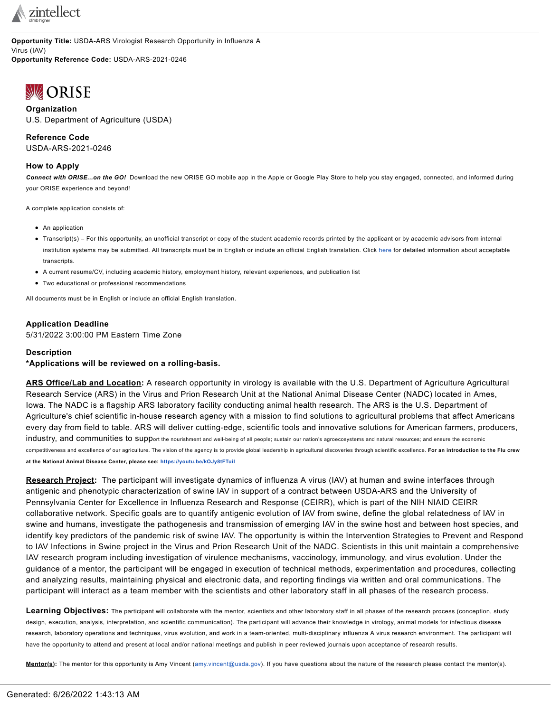

**Opportunity Title:** USDA-ARS Virologist Research Opportunity in Influenza A Virus (IAV)

**Opportunity Reference Code:** USDA-ARS-2021-0246

# <span id="page-0-0"></span>**WORISE**

**Organization** U.S. Department of Agriculture (USDA)

**Reference Code** USDA-ARS-2021-0246

### **How to Apply**

*Connect with ORISE...on the GO!* Download the new ORISE GO mobile app in the Apple or Google Play Store to help you stay engaged, connected, and informed during your ORISE experience and beyond!

A complete application consists of:

- An application
- Transcript(s) For this opportunity, an unofficial transcript or copy of the student academic records printed by the applicant or by academic advisors from internal institution systems may be submitted. All transcripts must be in English or include an official English translation. Click [here](http://orise.orau.gov/sepreview/transcripts.html) for detailed information about acceptable transcripts.
- A current resume/CV, including academic history, employment history, relevant experiences, and publication list
- Two educational or professional recommendations

All documents must be in English or include an official English translation.

## **Application Deadline**

5/31/2022 3:00:00 PM Eastern Time Zone

### **Description**

**\*Applications will be reviewed on a rolling-basis.**

**ARS Office/Lab and Location:** A research opportunity in virology is available with the U.S. Department of Agriculture Agricultural Research Service (ARS) in the Virus and Prion Research Unit at the National Animal Disease Center (NADC) located in Ames, Iowa. The NADC is a flagship ARS laboratory facility conducting animal health research. The ARS is the U.S. Department of Agriculture's chief scientific in-house research agency with a mission to find solutions to agricultural problems that affect Americans every day from field to table. ARS will deliver cutting-edge, scientific tools and innovative solutions for American farmers, producers, industry, and communities to support the nourishment and well-being of all people; sustain our nation's agroecosystems and natural resources; and ensure the economic competitiveness and excellence of our agriculture. The vision of the agency is to provide global leadership in agricultural discoveries through scientific excellence. For an introduction to the Flu crew **at the National Animal Disease Center, please see: <https://youtu.be/kOJy8tFTuiI>**

**Research Project:** The participant will investigate dynamics of influenza A virus (IAV) at human and swine interfaces through antigenic and phenotypic characterization of swine IAV in support of a contract between USDA-ARS and the University of Pennsylvania Center for Excellence in Influenza Research and Response (CEIRR), which is part of the NIH NIAID CEIRR collaborative network. Specific goals are to quantify antigenic evolution of IAV from swine, define the global relatedness of IAV in swine and humans, investigate the pathogenesis and transmission of emerging IAV in the swine host and between host species, and identify key predictors of the pandemic risk of swine IAV. The opportunity is within the Intervention Strategies to Prevent and Respond to IAV Infections in Swine project in the Virus and Prion Research Unit of the NADC. Scientists in this unit maintain a comprehensive IAV research program including investigation of virulence mechanisms, vaccinology, immunology, and virus evolution. Under the guidance of a mentor, the participant will be engaged in execution of technical methods, experimentation and procedures, collecting and analyzing results, maintaining physical and electronic data, and reporting findings via written and oral communications. The participant will interact as a team member with the scientists and other laboratory staff in all phases of the research process.

Learning Objectives: The participant will collaborate with the mentor, scientists and other laboratory staff in all phases of the research process (conception, study design, execution, analysis, interpretation, and scientific communication). The participant will advance their knowledge in virology, animal models for infectious disease research, laboratory operations and techniques, virus evolution, and work in a team-oriented, multi-disciplinary influenza A virus research environment. The participant will have the opportunity to attend and present at local and/or national meetings and publish in peer reviewed journals upon acceptance of research results.

**Mentor(s):** The mentor for this opportunity is Amy Vincent [\(amy.vincent@usda.gov](mailto:amy.vincent@usda.gov)). If you have questions about the nature of the research please contact the mentor(s).